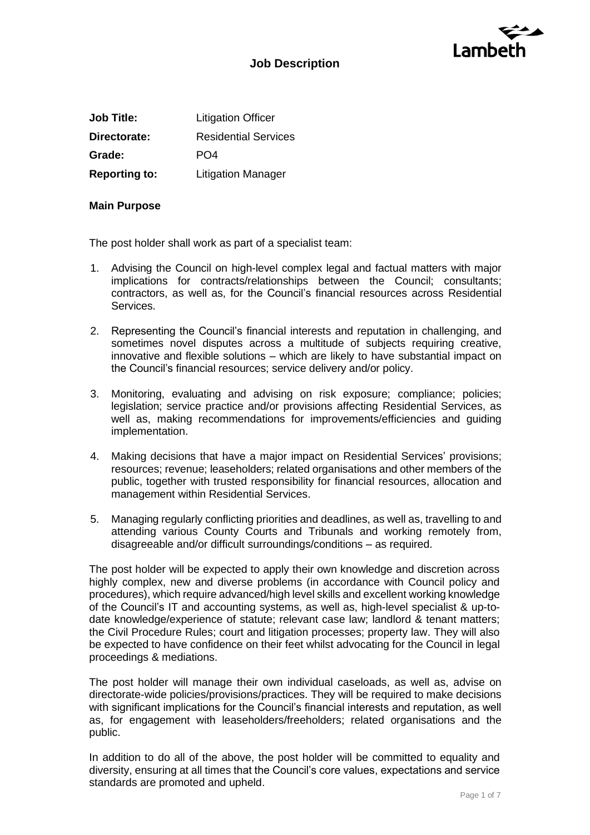

## **Job Description**

| <b>Job Title:</b>    | <b>Litigation Officer</b>   |
|----------------------|-----------------------------|
| Directorate:         | <b>Residential Services</b> |
| Grade:               | PO4                         |
| <b>Reporting to:</b> | <b>Litigation Manager</b>   |

#### **Main Purpose**

The post holder shall work as part of a specialist team:

- 1. Advising the Council on high-level complex legal and factual matters with major implications for contracts/relationships between the Council; consultants; contractors, as well as, for the Council's financial resources across Residential Services.
- 2. Representing the Council's financial interests and reputation in challenging, and sometimes novel disputes across a multitude of subjects requiring creative, innovative and flexible solutions – which are likely to have substantial impact on the Council's financial resources; service delivery and/or policy.
- 3. Monitoring, evaluating and advising on risk exposure; compliance; policies; legislation; service practice and/or provisions affecting Residential Services, as well as, making recommendations for improvements/efficiencies and quiding implementation.
- 4. Making decisions that have a major impact on Residential Services' provisions; resources; revenue; leaseholders; related organisations and other members of the public, together with trusted responsibility for financial resources, allocation and management within Residential Services.
- 5. Managing regularly conflicting priorities and deadlines, as well as, travelling to and attending various County Courts and Tribunals and working remotely from, disagreeable and/or difficult surroundings/conditions – as required.

The post holder will be expected to apply their own knowledge and discretion across highly complex, new and diverse problems (in accordance with Council policy and procedures), which require advanced/high level skills and excellent working knowledge of the Council's IT and accounting systems, as well as, high-level specialist & up-todate knowledge/experience of statute; relevant case law; landlord & tenant matters; the Civil Procedure Rules; court and litigation processes; property law. They will also be expected to have confidence on their feet whilst advocating for the Council in legal proceedings & mediations.

The post holder will manage their own individual caseloads, as well as, advise on directorate-wide policies/provisions/practices. They will be required to make decisions with significant implications for the Council's financial interests and reputation, as well as, for engagement with leaseholders/freeholders; related organisations and the public.

In addition to do all of the above, the post holder will be committed to equality and diversity, ensuring at all times that the Council's core values, expectations and service standards are promoted and upheld.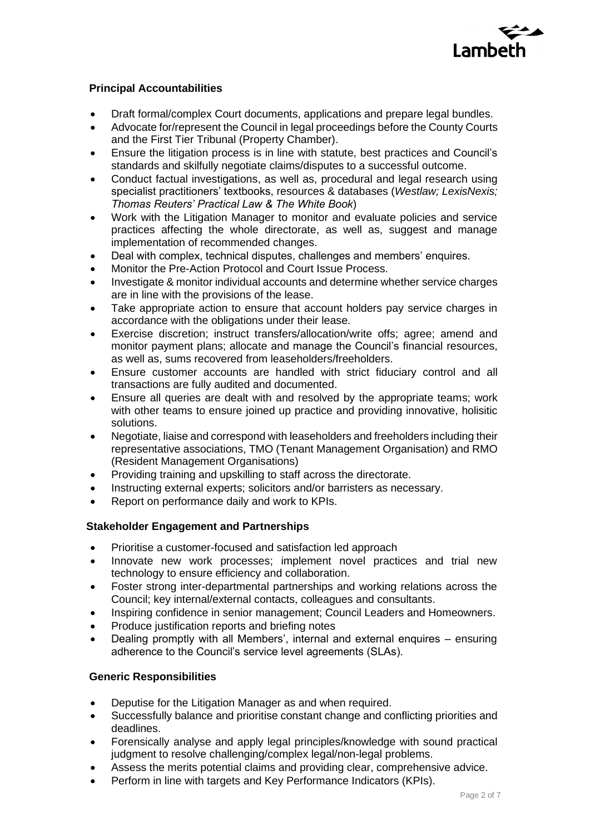

## **Principal Accountabilities**

- Draft formal/complex Court documents, applications and prepare legal bundles.
- Advocate for/represent the Council in legal proceedings before the County Courts and the First Tier Tribunal (Property Chamber).
- Ensure the litigation process is in line with statute, best practices and Council's standards and skilfully negotiate claims/disputes to a successful outcome.
- Conduct factual investigations, as well as, procedural and legal research using specialist practitioners' textbooks, resources & databases (*Westlaw; LexisNexis; Thomas Reuters' Practical Law & The White Book*)
- Work with the Litigation Manager to monitor and evaluate policies and service practices affecting the whole directorate, as well as, suggest and manage implementation of recommended changes.
- Deal with complex, technical disputes, challenges and members' enquires.
- Monitor the Pre-Action Protocol and Court Issue Process.
- Investigate & monitor individual accounts and determine whether service charges are in line with the provisions of the lease.
- Take appropriate action to ensure that account holders pay service charges in accordance with the obligations under their lease.
- Exercise discretion; instruct transfers/allocation/write offs; agree; amend and monitor payment plans; allocate and manage the Council's financial resources, as well as, sums recovered from leaseholders/freeholders.
- Ensure customer accounts are handled with strict fiduciary control and all transactions are fully audited and documented.
- Ensure all queries are dealt with and resolved by the appropriate teams; work with other teams to ensure joined up practice and providing innovative, holisitic solutions.
- Negotiate, liaise and correspond with leaseholders and freeholders including their representative associations, TMO (Tenant Management Organisation) and RMO (Resident Management Organisations)
- Providing training and upskilling to staff across the directorate.
- Instructing external experts; solicitors and/or barristers as necessary.
- Report on performance daily and work to KPIs.

## **Stakeholder Engagement and Partnerships**

- Prioritise a customer-focused and satisfaction led approach
- Innovate new work processes; implement novel practices and trial new technology to ensure efficiency and collaboration.
- Foster strong inter-departmental partnerships and working relations across the Council; key internal/external contacts, colleagues and consultants.
- Inspiring confidence in senior management; Council Leaders and Homeowners.
- Produce justification reports and briefing notes
- Dealing promptly with all Members', internal and external enquires ensuring adherence to the Council's service level agreements (SLAs).

#### **Generic Responsibilities**

- Deputise for the Litigation Manager as and when required.
- Successfully balance and prioritise constant change and conflicting priorities and deadlines.
- Forensically analyse and apply legal principles/knowledge with sound practical judgment to resolve challenging/complex legal/non-legal problems.
- Assess the merits potential claims and providing clear, comprehensive advice.
- Perform in line with targets and Key Performance Indicators (KPIs).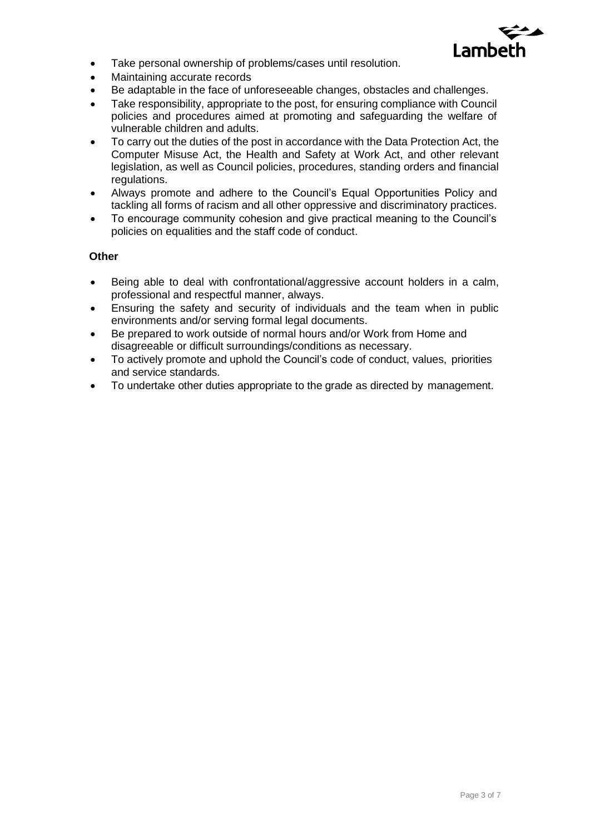

- Take personal ownership of problems/cases until resolution.
- Maintaining accurate records
- Be adaptable in the face of unforeseeable changes, obstacles and challenges.
- Take responsibility, appropriate to the post, for ensuring compliance with Council policies and procedures aimed at promoting and safeguarding the welfare of vulnerable children and adults.
- To carry out the duties of the post in accordance with the Data Protection Act, the Computer Misuse Act, the Health and Safety at Work Act, and other relevant legislation, as well as Council policies, procedures, standing orders and financial regulations.
- Always promote and adhere to the Council's Equal Opportunities Policy and tackling all forms of racism and all other oppressive and discriminatory practices.
- To encourage community cohesion and give practical meaning to the Council's policies on equalities and the staff code of conduct.

### **Other**

- Being able to deal with confrontational/aggressive account holders in a calm, professional and respectful manner, always.
- Ensuring the safety and security of individuals and the team when in public environments and/or serving formal legal documents.
- Be prepared to work outside of normal hours and/or Work from Home and disagreeable or difficult surroundings/conditions as necessary.
- To actively promote and uphold the Council's code of conduct, values, priorities and service standards.
- To undertake other duties appropriate to the grade as directed by management.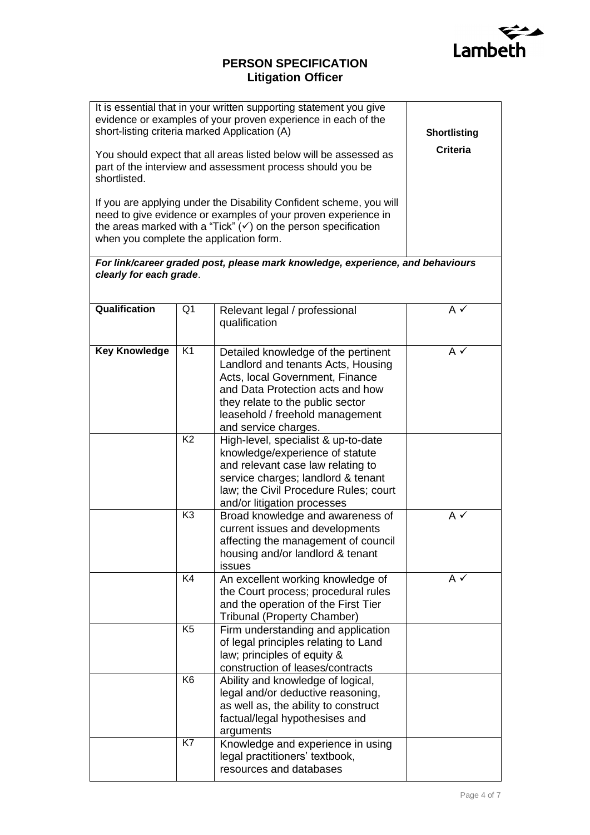# **PERSON SPECIFICATION Litigation Officer**

| short-listing criteria marked Application (A)<br>shortlisted.<br>when you complete the application form.<br>clearly for each grade. |                                  | It is essential that in your written supporting statement you give<br>evidence or examples of your proven experience in each of the<br>You should expect that all areas listed below will be assessed as<br>part of the interview and assessment process should you be<br>If you are applying under the Disability Confident scheme, you will<br>need to give evidence or examples of your proven experience in<br>the areas marked with a "Tick" $(\checkmark)$ on the person specification<br>For link/career graded post, please mark knowledge, experience, and behaviours | <b>Shortlisting</b><br><b>Criteria</b> |
|-------------------------------------------------------------------------------------------------------------------------------------|----------------------------------|--------------------------------------------------------------------------------------------------------------------------------------------------------------------------------------------------------------------------------------------------------------------------------------------------------------------------------------------------------------------------------------------------------------------------------------------------------------------------------------------------------------------------------------------------------------------------------|----------------------------------------|
| Qualification                                                                                                                       | Q <sub>1</sub>                   | Relevant legal / professional<br>qualification                                                                                                                                                                                                                                                                                                                                                                                                                                                                                                                                 | $A \checkmark$                         |
| <b>Key Knowledge</b>                                                                                                                | K <sub>1</sub><br>K <sub>2</sub> | Detailed knowledge of the pertinent<br>Landlord and tenants Acts, Housing<br>Acts, local Government, Finance<br>and Data Protection acts and how<br>they relate to the public sector<br>leasehold / freehold management<br>and service charges.<br>High-level, specialist & up-to-date<br>knowledge/experience of statute<br>and relevant case law relating to<br>service charges; landlord & tenant<br>law; the Civil Procedure Rules; court<br>and/or litigation processes                                                                                                   | $A \checkmark$                         |
|                                                                                                                                     | K <sub>3</sub>                   | Broad knowledge and awareness of<br>current issues and developments<br>affecting the management of council<br>housing and/or landlord & tenant<br>issues                                                                                                                                                                                                                                                                                                                                                                                                                       | A✓                                     |
|                                                                                                                                     | K4                               | An excellent working knowledge of<br>the Court process; procedural rules<br>and the operation of the First Tier<br><b>Tribunal (Property Chamber)</b>                                                                                                                                                                                                                                                                                                                                                                                                                          | A✓                                     |
|                                                                                                                                     | K <sub>5</sub>                   | Firm understanding and application<br>of legal principles relating to Land<br>law; principles of equity &<br>construction of leases/contracts                                                                                                                                                                                                                                                                                                                                                                                                                                  |                                        |
|                                                                                                                                     | K <sub>6</sub>                   | Ability and knowledge of logical,<br>legal and/or deductive reasoning,<br>as well as, the ability to construct<br>factual/legal hypothesises and<br>arguments                                                                                                                                                                                                                                                                                                                                                                                                                  |                                        |
|                                                                                                                                     | K7                               | Knowledge and experience in using<br>legal practitioners' textbook,<br>resources and databases                                                                                                                                                                                                                                                                                                                                                                                                                                                                                 |                                        |

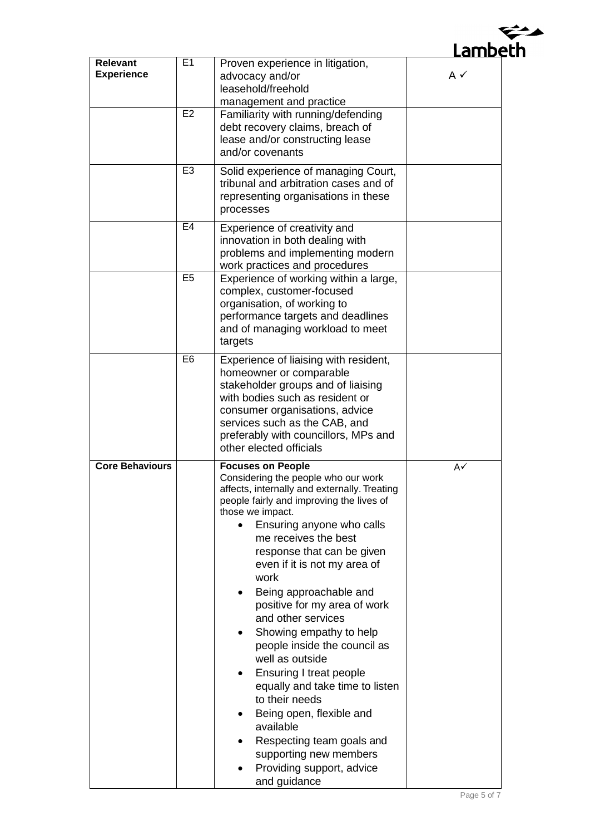|                                      |                |                                                                                                                                                                                                                                                                                                                                                                                                                                                                                                                                                                                                                                                                                       | <u>Lambeth</u> |
|--------------------------------------|----------------|---------------------------------------------------------------------------------------------------------------------------------------------------------------------------------------------------------------------------------------------------------------------------------------------------------------------------------------------------------------------------------------------------------------------------------------------------------------------------------------------------------------------------------------------------------------------------------------------------------------------------------------------------------------------------------------|----------------|
| <b>Relevant</b><br><b>Experience</b> | E1             | Proven experience in litigation,<br>advocacy and/or<br>leasehold/freehold<br>management and practice                                                                                                                                                                                                                                                                                                                                                                                                                                                                                                                                                                                  | A✓             |
|                                      | E <sub>2</sub> | Familiarity with running/defending<br>debt recovery claims, breach of<br>lease and/or constructing lease<br>and/or covenants                                                                                                                                                                                                                                                                                                                                                                                                                                                                                                                                                          |                |
|                                      | E <sub>3</sub> | Solid experience of managing Court,<br>tribunal and arbitration cases and of<br>representing organisations in these<br>processes                                                                                                                                                                                                                                                                                                                                                                                                                                                                                                                                                      |                |
|                                      | E <sub>4</sub> | Experience of creativity and<br>innovation in both dealing with<br>problems and implementing modern<br>work practices and procedures                                                                                                                                                                                                                                                                                                                                                                                                                                                                                                                                                  |                |
|                                      | E <sub>5</sub> | Experience of working within a large,<br>complex, customer-focused<br>organisation, of working to<br>performance targets and deadlines<br>and of managing workload to meet<br>targets                                                                                                                                                                                                                                                                                                                                                                                                                                                                                                 |                |
|                                      | E6             | Experience of liaising with resident,<br>homeowner or comparable<br>stakeholder groups and of liaising<br>with bodies such as resident or<br>consumer organisations, advice<br>services such as the CAB, and<br>preferably with councillors, MPs and<br>other elected officials                                                                                                                                                                                                                                                                                                                                                                                                       |                |
| <b>Core Behaviours</b>               |                | <b>Focuses on People</b><br>Considering the people who our work<br>affects, internally and externally. Treating<br>people fairly and improving the lives of<br>those we impact.<br>Ensuring anyone who calls<br>me receives the best<br>response that can be given<br>even if it is not my area of<br>work<br>Being approachable and<br>positive for my area of work<br>and other services<br>Showing empathy to help<br>people inside the council as<br>well as outside<br>Ensuring I treat people<br>equally and take time to listen<br>to their needs<br>Being open, flexible and<br>available<br>Respecting team goals and<br>supporting new members<br>Providing support, advice | A✓             |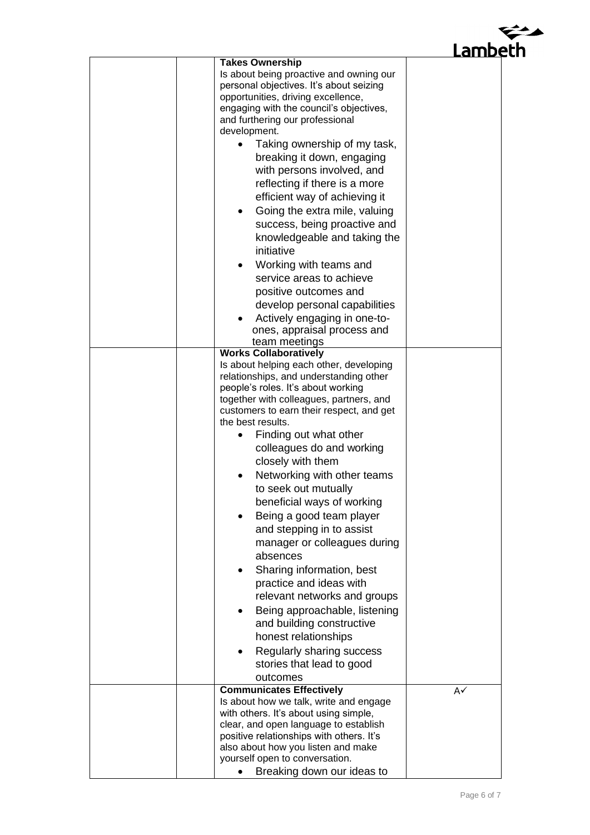|                                                                                | Lambeth       |
|--------------------------------------------------------------------------------|---------------|
| <b>Takes Ownership</b>                                                         |               |
| Is about being proactive and owning our                                        |               |
| personal objectives. It's about seizing                                        |               |
| opportunities, driving excellence,<br>engaging with the council's objectives,  |               |
| and furthering our professional                                                |               |
| development.                                                                   |               |
| Taking ownership of my task,                                                   |               |
| breaking it down, engaging                                                     |               |
| with persons involved, and                                                     |               |
| reflecting if there is a more                                                  |               |
| efficient way of achieving it                                                  |               |
| Going the extra mile, valuing<br>$\bullet$                                     |               |
|                                                                                |               |
| success, being proactive and                                                   |               |
| knowledgeable and taking the                                                   |               |
| initiative                                                                     |               |
| Working with teams and                                                         |               |
| service areas to achieve                                                       |               |
| positive outcomes and                                                          |               |
| develop personal capabilities                                                  |               |
| Actively engaging in one-to-                                                   |               |
| ones, appraisal process and                                                    |               |
| team meetings                                                                  |               |
| <b>Works Collaboratively</b><br>Is about helping each other, developing        |               |
| relationships, and understanding other                                         |               |
| people's roles. It's about working                                             |               |
| together with colleagues, partners, and                                        |               |
| customers to earn their respect, and get                                       |               |
| the best results.                                                              |               |
| Finding out what other                                                         |               |
| colleagues do and working                                                      |               |
| closely with them                                                              |               |
| Networking with other teams                                                    |               |
| to seek out mutually                                                           |               |
| beneficial ways of working                                                     |               |
| Being a good team player                                                       |               |
| and stepping in to assist                                                      |               |
| manager or colleagues during                                                   |               |
| absences                                                                       |               |
| Sharing information, best                                                      |               |
| practice and ideas with                                                        |               |
| relevant networks and groups                                                   |               |
| Being approachable, listening                                                  |               |
| and building constructive                                                      |               |
|                                                                                |               |
| honest relationships                                                           |               |
| Regularly sharing success                                                      |               |
| stories that lead to good                                                      |               |
| outcomes                                                                       |               |
| <b>Communicates Effectively</b>                                                | $A\checkmark$ |
| Is about how we talk, write and engage                                         |               |
| with others. It's about using simple,<br>clear, and open language to establish |               |
| positive relationships with others. It's                                       |               |
| also about how you listen and make                                             |               |
| yourself open to conversation.                                                 |               |
| Breaking down our ideas to                                                     |               |